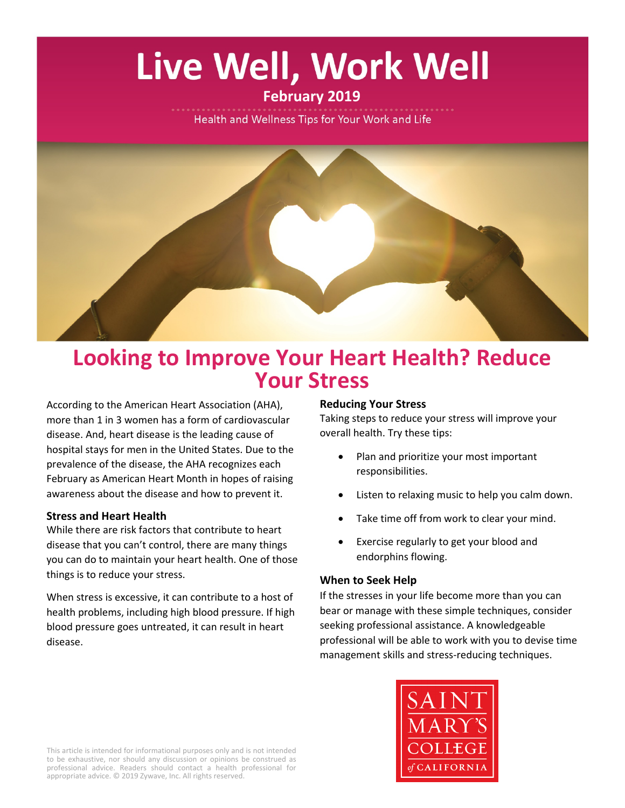# Live Well, Work Well

## **February 2019**

Health and Wellness Tips for Your Work and Life



## **Looking to Improve Your Heart Health? Reduce Your Stress**

According to the American Heart Association (AHA), more than 1 in 3 women has a form of cardiovascular disease. And, heart disease is the leading cause of hospital stays for men in the United States. Due to the prevalence of the disease, the AHA recognizes each February as American Heart Month in hopes of raising awareness about the disease and how to prevent it.

### **Stress and Heart Health**

While there are risk factors that contribute to heart disease that you can't control, there are many things you can do to maintain your heart health. One of those things is to reduce your stress.

When stress is excessive, it can contribute to a host of health problems, including high blood pressure. If high blood pressure goes untreated, it can result in heart disease.

#### **Reducing Your Stress**

Taking steps to reduce your stress will improve your overall health. Try these tips:

- Plan and prioritize your most important responsibilities.
- Listen to relaxing music to help you calm down.
- Take time off from work to clear your mind.
- Exercise regularly to get your blood and endorphins flowing.

#### **When to Seek Help**

If the stresses in your life become more than you can bear or manage with these simple techniques, consider seeking professional assistance. A knowledgeable professional will be able to work with you to devise time management skills and stress-reducing techniques.



This article is intended for informational purposes only and is not intended to be exhaustive, nor should any discussion or opinions be construed as professional advice. Readers should contact a health professional for appropriate advice. © 2019 Zywave, Inc. All rights reserved.